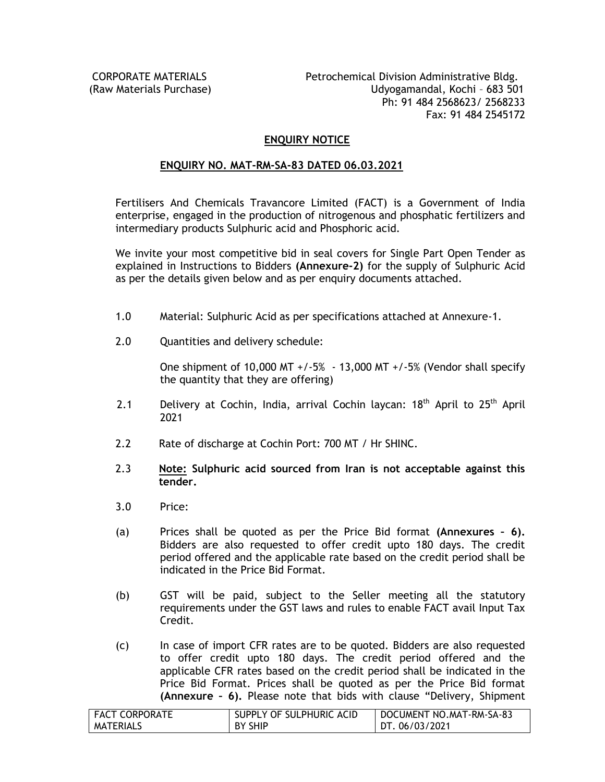# **ENQUIRY NOTICE**

### **ENQUIRY NO. MAT-RM-SA-83 DATED 06.03.2021**

Fertilisers And Chemicals Travancore Limited (FACT) is a Government of India enterprise, engaged in the production of nitrogenous and phosphatic fertilizers and intermediary products Sulphuric acid and Phosphoric acid.

We invite your most competitive bid in seal covers for Single Part Open Tender as explained in Instructions to Bidders **(Annexure-2)** for the supply of Sulphuric Acid as per the details given below and as per enquiry documents attached.

- 1.0 Material: Sulphuric Acid as per specifications attached at Annexure-1.
- 2.0 Quantities and delivery schedule:

One shipment of 10,000 MT +/-5% - 13,000 MT +/-5% (Vendor shall specify the quantity that they are offering)

- 2.1 Delivery at Cochin, India, arrival Cochin laycan:  $18<sup>th</sup>$  April to  $25<sup>th</sup>$  April 2021
- 2.2 Rate of discharge at Cochin Port: 700 MT / Hr SHINC.
- 2.3 **Note: Sulphuric acid sourced from Iran is not acceptable against this tender.**
- 3.0 Price:
- (a) Prices shall be quoted as per the Price Bid format **(Annexures – 6).** Bidders are also requested to offer credit upto 180 days. The credit period offered and the applicable rate based on the credit period shall be indicated in the Price Bid Format.
- (b) GST will be paid, subject to the Seller meeting all the statutory requirements under the GST laws and rules to enable FACT avail Input Tax Credit.
- (c) In case of import CFR rates are to be quoted. Bidders are also requested to offer credit upto 180 days. The credit period offered and the applicable CFR rates based on the credit period shall be indicated in the Price Bid Format. Prices shall be quoted as per the Price Bid format **(Annexure – 6).** Please note that bids with clause "Delivery, Shipment

| <b>FACT CORPORATE</b> | SUPPLY OF SULPHURIC ACID | DOCUMENT NO.MAT-RM-SA-83 |
|-----------------------|--------------------------|--------------------------|
| <b>MATERIALS</b>      | BY SHIP                  | DT. 06/03/2021           |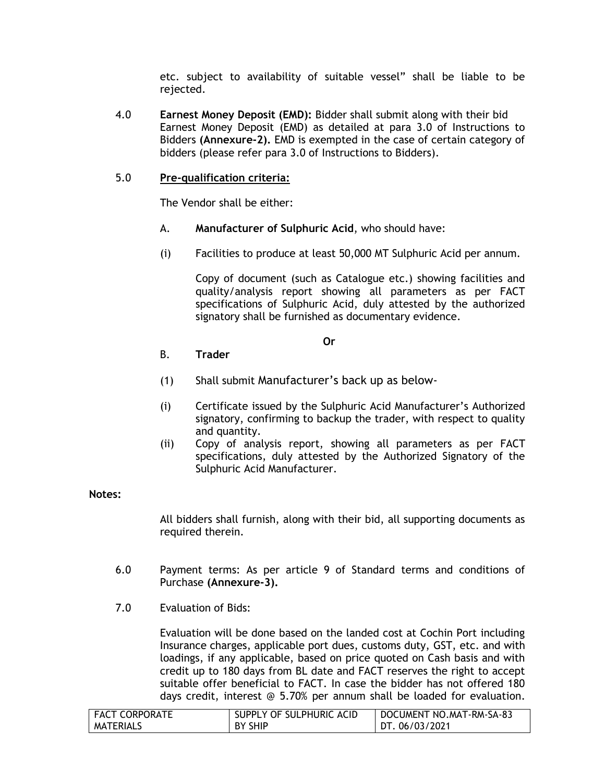etc. subject to availability of suitable vessel" shall be liable to be rejected.

4.0 **Earnest Money Deposit (EMD):** Bidder shall submit along with their bid Earnest Money Deposit (EMD) as detailed at para 3.0 of Instructions to Bidders **(Annexure-2).** EMD is exempted in the case of certain category of bidders (please refer para 3.0 of Instructions to Bidders).

# 5.0 **Pre-qualification criteria:**

The Vendor shall be either:

- A. **Manufacturer of Sulphuric Acid**, who should have:
- (i) Facilities to produce at least 50,000 MT Sulphuric Acid per annum.

Copy of document (such as Catalogue etc.) showing facilities and quality/analysis report showing all parameters as per FACT specifications of Sulphuric Acid, duly attested by the authorized signatory shall be furnished as documentary evidence.

#### **Or**

# B. **Trader**

- (1) Shall submit Manufacturer's back up as below-
- (i) Certificate issued by the Sulphuric Acid Manufacturer's Authorized signatory, confirming to backup the trader, with respect to quality and quantity.
- (ii) Copy of analysis report, showing all parameters as per FACT specifications, duly attested by the Authorized Signatory of the Sulphuric Acid Manufacturer.

### **Notes:**

All bidders shall furnish, along with their bid, all supporting documents as required therein.

- 6.0 Payment terms: As per article 9 of Standard terms and conditions of Purchase **(Annexure-3).**
- 7.0 Evaluation of Bids:

Evaluation will be done based on the landed cost at Cochin Port including Insurance charges, applicable port dues, customs duty, GST, etc. and with loadings, if any applicable, based on price quoted on Cash basis and with credit up to 180 days from BL date and FACT reserves the right to accept suitable offer beneficial to FACT. In case the bidder has not offered 180 days credit, interest @ 5.70% per annum shall be loaded for evaluation.

| <b>FACT CORPORATE</b> | SUPPLY OF SULPHURIC ACID | DOCUMENT NO.MAT-RM-SA-83 |
|-----------------------|--------------------------|--------------------------|
| <b>MATERIALS</b>      | <b>BY SHIP</b>           | DT. 06/03/2021           |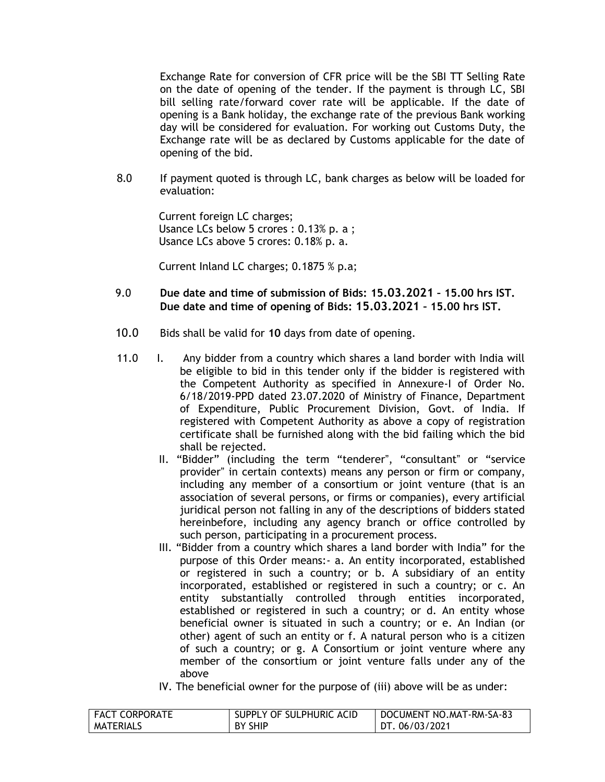Exchange Rate for conversion of CFR price will be the SBI TT Selling Rate on the date of opening of the tender. If the payment is through LC, SBI bill selling rate/forward cover rate will be applicable. If the date of opening is a Bank holiday, the exchange rate of the previous Bank working day will be considered for evaluation. For working out Customs Duty, the Exchange rate will be as declared by Customs applicable for the date of opening of the bid.

8.0 If payment quoted is through LC, bank charges as below will be loaded for evaluation:

> Current foreign LC charges; Usance LCs below 5 crores : 0.13% p. a ; Usance LCs above 5 crores: 0.18% p. a.

Current Inland LC charges; 0.1875 % p.a;

- 9.0 **Due date and time of submission of Bids: 15.03.2021 – 15.00 hrs IST. Due date and time of opening of Bids: 15.03.2021 – 15.00 hrs IST.**
- 10.0 Bids shall be valid for **10** days from date of opening.
- 11.0 I. Any bidder from a country which shares a land border with India will be eligible to bid in this tender only if the bidder is registered with the Competent Authority as specified in Annexure-I of Order No. 6/18/2019-PPD dated 23.07.2020 of Ministry of Finance, Department of Expenditure, Public Procurement Division, Govt. of India. If registered with Competent Authority as above a copy of registration certificate shall be furnished along with the bid failing which the bid shall be rejected.
	- II. "Bidder" (including the term "tenderer", "consultant" or "service provider" in certain contexts) means any person or firm or company, including any member of a consortium or joint venture (that is an association of several persons, or firms or companies), every artificial juridical person not falling in any of the descriptions of bidders stated hereinbefore, including any agency branch or office controlled by such person, participating in a procurement process.
	- III. "Bidder from a country which shares a land border with India" for the purpose of this Order means:- a. An entity incorporated, established or registered in such a country; or b. A subsidiary of an entity incorporated, established or registered in such a country; or c. An entity substantially controlled through entities incorporated, established or registered in such a country; or d. An entity whose beneficial owner is situated in such a country; or e. An Indian (or other) agent of such an entity or f. A natural person who is a citizen of such a country; or g. A Consortium or joint venture where any member of the consortium or joint venture falls under any of the above
	- IV. The beneficial owner for the purpose of (iii) above will be as under:

| <b>FACT CORPORATE</b> | SUPPLY OF SULPHURIC ACID | DOCUMENT NO.MAT-RM-SA-83 |
|-----------------------|--------------------------|--------------------------|
| <b>MATERIALS</b>      | BY SHIP                  | DT. 06/03/2021           |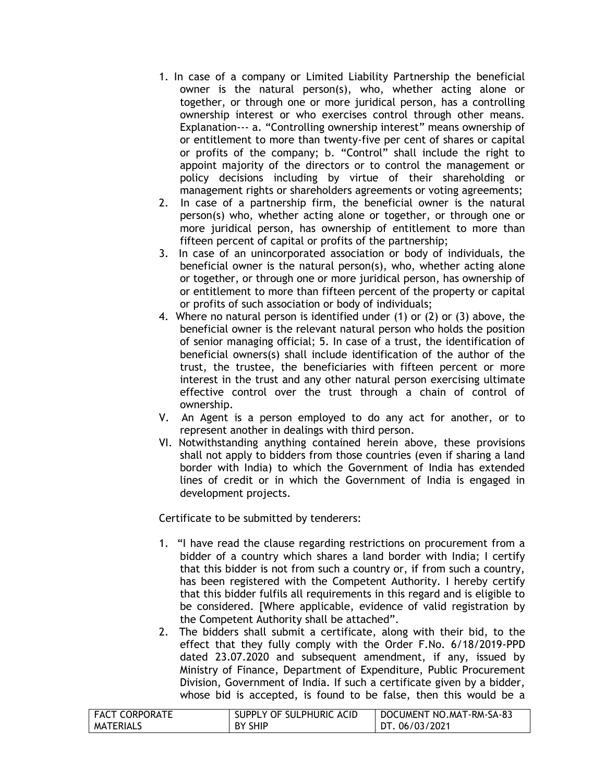- 1. In case of a company or Limited Liability Partnership the beneficial owner is the natural person(s), who, whether acting alone or together, or through one or more juridical person, has a controlling ownership interest or who exercises control through other means. Explanation--- a. "Controlling ownership interest" means ownership of or entitlement to more than twenty-five per cent of shares or capital or profits of the company; b. "Control" shall include the right to appoint majority of the directors or to control the management or policy decisions including by virtue of their shareholding or management rights or shareholders agreements or voting agreements;
- 2. In case of a partnership firm, the beneficial owner is the natural person(s) who, whether acting alone or together, or through one or more juridical person, has ownership of entitlement to more than fifteen percent of capital or profits of the partnership;
- 3. In case of an unincorporated association or body of individuals, the beneficial owner is the natural person(s), who, whether acting alone or together, or through one or more juridical person, has ownership of or entitlement to more than fifteen percent of the property or capital or profits of such association or body of individuals;
- 4. Where no natural person is identified under (1) or (2) or (3) above, the beneficial owner is the relevant natural person who holds the position of senior managing official; 5. In case of a trust, the identification of beneficial owners(s) shall include identification of the author of the trust, the trustee, the beneficiaries with fifteen percent or more interest in the trust and any other natural person exercising ultimate effective control over the trust through a chain of control of ownership.
- V. An Agent is a person employed to do any act for another, or to represent another in dealings with third person.
- VI. Notwithstanding anything contained herein above, these provisions shall not apply to bidders from those countries (even if sharing a land border with India) to which the Government of India has extended lines of credit or in which the Government of India is engaged in development projects.

Certificate to be submitted by tenderers:

- 1. "I have read the clause regarding restrictions on procurement from a bidder of a country which shares a land border with India; I certify that this bidder is not from such a country or, if from such a country, has been registered with the Competent Authority. I hereby certify that this bidder fulfils all requirements in this regard and is eligible to be considered. [Where applicable, evidence of valid registration by the Competent Authority shall be attached".
- 2. The bidders shall submit a certificate, along with their bid, to the effect that they fully comply with the Order F.No. 6/18/2019-PPD dated 23.07.2020 and subsequent amendment, if any, issued by Ministry of Finance, Department of Expenditure, Public Procurement Division, Government of India. If such a certificate given by a bidder, whose bid is accepted, is found to be false, then this would be a

| FACT CORPORATE   | SUPPLY OF SULPHURIC ACID | DOCUMENT NO.MAT-RM-SA-83 |
|------------------|--------------------------|--------------------------|
| <b>MATERIALS</b> | <b>BY SHIP</b>           | DT. 06/03/2021           |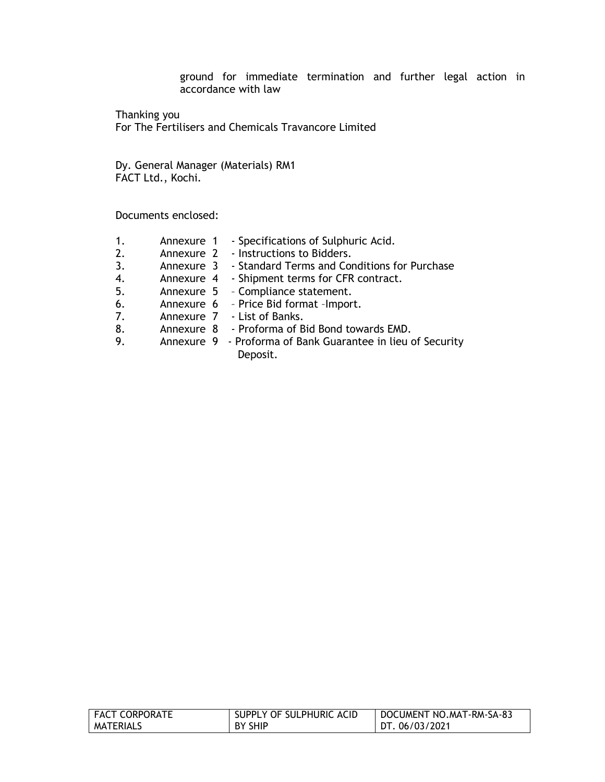ground for immediate termination and further legal action in accordance with law

Thanking you For The Fertilisers and Chemicals Travancore Limited

Dy. General Manager (Materials) RM1 FACT Ltd., Kochi.

Documents enclosed:

- 1. Annexure 1 Specifications of Sulphuric Acid.
- 2. Annexure 2 Instructions to Bidders.
- 3. Annexure 3 Standard Terms and Conditions for Purchase
- 4. Annexure 4 Shipment terms for CFR contract.
- 5. Annexure 5 Compliance statement.
- 6. Annexure 6 Price Bid format –Import.
- 7. Annexure 7 List of Banks.
- 8. Annexure 8 Proforma of Bid Bond towards EMD.
- 9. Annexure 9 Proforma of Bank Guarantee in lieu of Security Deposit.

| FACT CORPORATE   | SUPPLY OF SULPHURIC ACID | DOCUMENT NO.MAT-RM-SA-83 |
|------------------|--------------------------|--------------------------|
| <b>MATERIALS</b> | BY SHIP                  | DT. 06/03/2021           |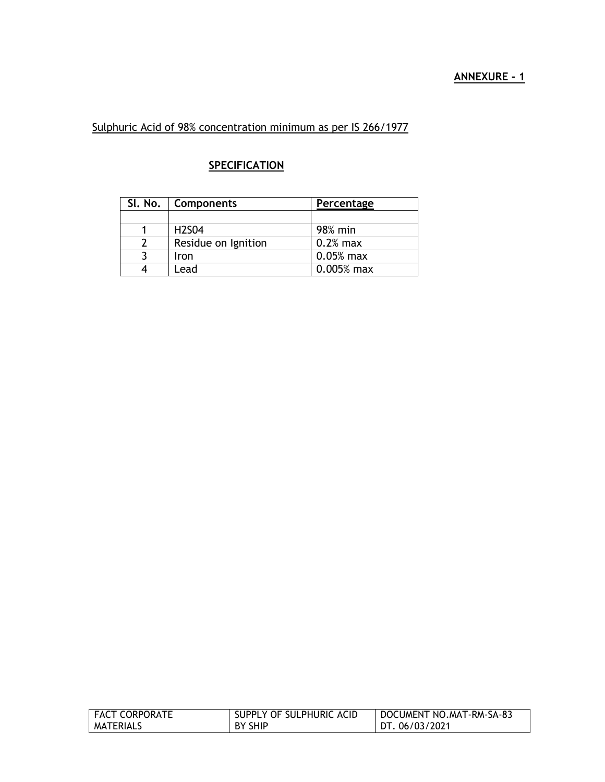Sulphuric Acid of 98% concentration minimum as per IS 266/1977

# **SPECIFICATION**

| SI. No.   Components           | Percentage   |
|--------------------------------|--------------|
|                                |              |
| H <sub>2</sub> S <sub>04</sub> | 98% min      |
| Residue on Ignition            | $0.2%$ max   |
| Iron                           | $0.05%$ max  |
| _ead                           | $0.005%$ max |

| FACT CORPORATE | SUPPLY OF SULPHURIC ACID | DOCUMENT NO.MAT-RM-SA-83 |
|----------------|--------------------------|--------------------------|
| MATERIALS      | BY SHIP                  | DT. 06/03/2021           |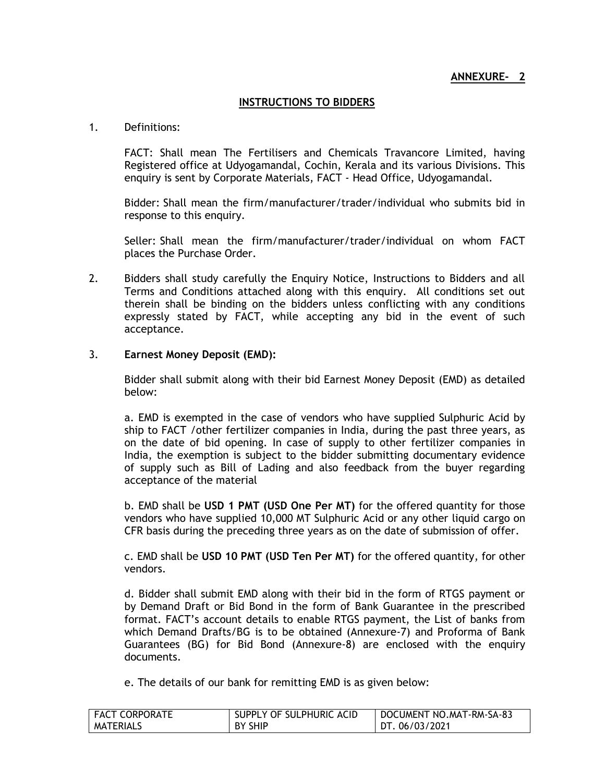# **ANNEXURE- 2**

# **INSTRUCTIONS TO BIDDERS**

### 1. Definitions:

FACT: Shall mean The Fertilisers and Chemicals Travancore Limited, having Registered office at Udyogamandal, Cochin, Kerala and its various Divisions. This enquiry is sent by Corporate Materials, FACT - Head Office, Udyogamandal.

Bidder: Shall mean the firm/manufacturer/trader/individual who submits bid in response to this enquiry.

Seller: Shall mean the firm/manufacturer/trader/individual on whom FACT places the Purchase Order.

2. Bidders shall study carefully the Enquiry Notice, Instructions to Bidders and all Terms and Conditions attached along with this enquiry. All conditions set out therein shall be binding on the bidders unless conflicting with any conditions expressly stated by FACT, while accepting any bid in the event of such acceptance.

# 3. **Earnest Money Deposit (EMD):**

Bidder shall submit along with their bid Earnest Money Deposit (EMD) as detailed below:

a. EMD is exempted in the case of vendors who have supplied Sulphuric Acid by ship to FACT /other fertilizer companies in India, during the past three years, as on the date of bid opening. In case of supply to other fertilizer companies in India, the exemption is subject to the bidder submitting documentary evidence of supply such as Bill of Lading and also feedback from the buyer regarding acceptance of the material

b. EMD shall be **USD 1 PMT (USD One Per MT)** for the offered quantity for those vendors who have supplied 10,000 MT Sulphuric Acid or any other liquid cargo on CFR basis during the preceding three years as on the date of submission of offer.

c. EMD shall be **USD 10 PMT (USD Ten Per MT)** for the offered quantity, for other vendors.

d. Bidder shall submit EMD along with their bid in the form of RTGS payment or by Demand Draft or Bid Bond in the form of Bank Guarantee in the prescribed format. FACT's account details to enable RTGS payment, the List of banks from which Demand Drafts/BG is to be obtained (Annexure-7) and Proforma of Bank Guarantees (BG) for Bid Bond (Annexure-8) are enclosed with the enquiry documents.

e. The details of our bank for remitting EMD is as given below:

| <b>FACT CORPORATE</b> | SUPPLY OF SULPHURIC ACID | DOCUMENT NO.MAT-RM-SA-83 |
|-----------------------|--------------------------|--------------------------|
| <b>MATERIALS</b>      | <b>BY SHIP</b>           | DT. 06/03/2021           |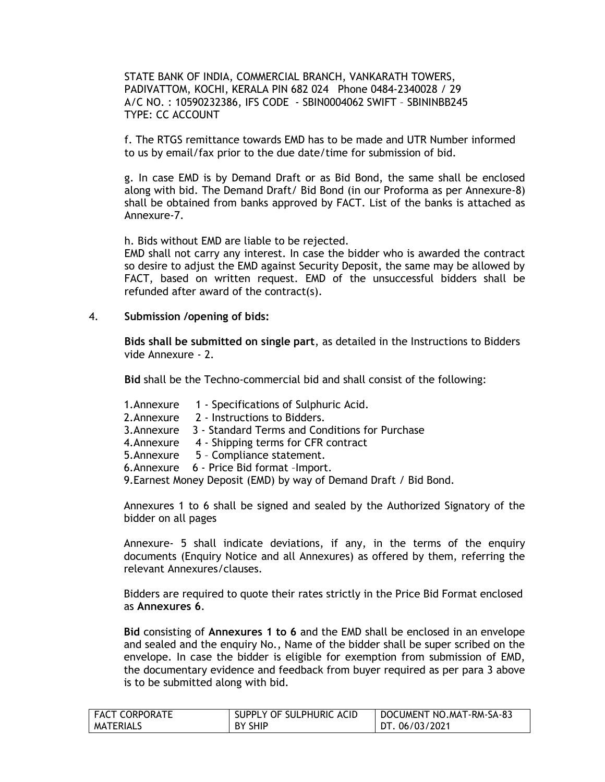STATE BANK OF INDIA, COMMERCIAL BRANCH, VANKARATH TOWERS, PADIVATTOM, KOCHI, KERALA PIN 682 024 Phone 0484-2340028 / 29 A/C NO. : 10590232386, IFS CODE - SBIN0004062 SWIFT – SBININBB245 TYPE: CC ACCOUNT

f. The RTGS remittance towards EMD has to be made and UTR Number informed to us by email/fax prior to the due date/time for submission of bid.

g. In case EMD is by Demand Draft or as Bid Bond, the same shall be enclosed along with bid. The Demand Draft/ Bid Bond (in our Proforma as per Annexure-8) shall be obtained from banks approved by FACT. List of the banks is attached as Annexure-7.

h. Bids without EMD are liable to be rejected.

EMD shall not carry any interest. In case the bidder who is awarded the contract so desire to adjust the EMD against Security Deposit, the same may be allowed by FACT, based on written request. EMD of the unsuccessful bidders shall be refunded after award of the contract(s).

### 4. **Submission /opening of bids:**

**Bids shall be submitted on single part**, as detailed in the Instructions to Bidders vide Annexure - 2.

**Bid** shall be the Techno-commercial bid and shall consist of the following:

- 1.Annexure 1 Specifications of Sulphuric Acid.
- 2.Annexure 2 Instructions to Bidders.
- 3.Annexure 3 Standard Terms and Conditions for Purchase
- 4.Annexure 4 Shipping terms for CFR contract
- 5.Annexure 5 Compliance statement.
- 6.Annexure 6 Price Bid format –Import.
- 9.Earnest Money Deposit (EMD) by way of Demand Draft / Bid Bond.

Annexures 1 to 6 shall be signed and sealed by the Authorized Signatory of the bidder on all pages

Annexure- 5 shall indicate deviations, if any, in the terms of the enquiry documents (Enquiry Notice and all Annexures) as offered by them, referring the relevant Annexures/clauses.

Bidders are required to quote their rates strictly in the Price Bid Format enclosed as **Annexures 6**.

**Bid** consisting of **Annexures 1 to 6** and the EMD shall be enclosed in an envelope and sealed and the enquiry No., Name of the bidder shall be super scribed on the envelope. In case the bidder is eligible for exemption from submission of EMD, the documentary evidence and feedback from buyer required as per para 3 above is to be submitted along with bid.

| <b>FACT CORPORATE</b> | SUPPLY OF SULPHURIC ACID | DOCUMENT NO.MAT-RM-SA-83 |
|-----------------------|--------------------------|--------------------------|
| MATERIALS             | <b>BY SHIP</b>           | DT. 06/03/2021           |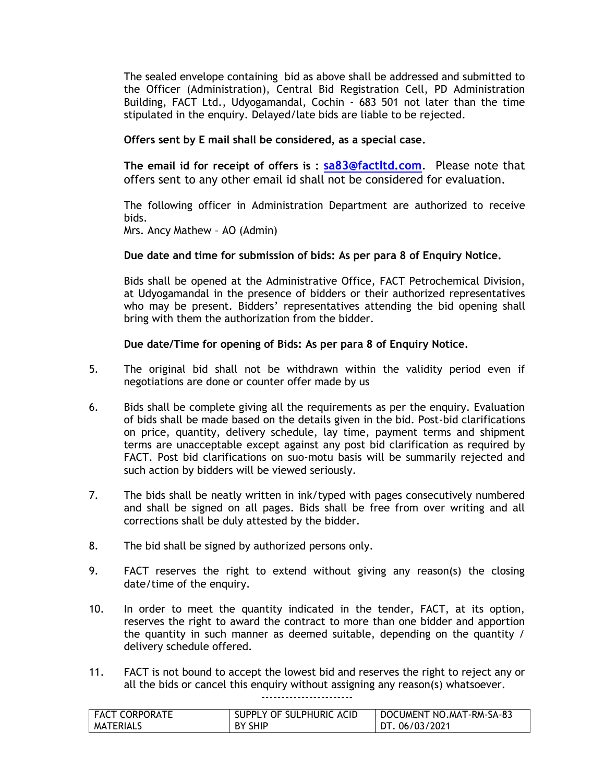The sealed envelope containing bid as above shall be addressed and submitted to the Officer (Administration), Central Bid Registration Cell, PD Administration Building, FACT Ltd., Udyogamandal, Cochin - 683 501 not later than the time stipulated in the enquiry. Delayed/late bids are liable to be rejected.

# **Offers sent by E mail shall be considered, as a special case.**

**The email id for receipt of offers is : [sa83@factltd.com](mailto:sa83@factltd.com)**. Please note that offers sent to any other email id shall not be considered for evaluation.

The following officer in Administration Department are authorized to receive bids.

Mrs. Ancy Mathew – AO (Admin)

# **Due date and time for submission of bids: As per para 8 of Enquiry Notice.**

Bids shall be opened at the Administrative Office, FACT Petrochemical Division, at Udyogamandal in the presence of bidders or their authorized representatives who may be present. Bidders' representatives attending the bid opening shall bring with them the authorization from the bidder.

# **Due date/Time for opening of Bids: As per para 8 of Enquiry Notice.**

- 5. The original bid shall not be withdrawn within the validity period even if negotiations are done or counter offer made by us
- 6. Bids shall be complete giving all the requirements as per the enquiry. Evaluation of bids shall be made based on the details given in the bid. Post-bid clarifications on price, quantity, delivery schedule, lay time, payment terms and shipment terms are unacceptable except against any post bid clarification as required by FACT. Post bid clarifications on suo-motu basis will be summarily rejected and such action by bidders will be viewed seriously.
- 7. The bids shall be neatly written in ink/typed with pages consecutively numbered and shall be signed on all pages. Bids shall be free from over writing and all corrections shall be duly attested by the bidder.
- 8. The bid shall be signed by authorized persons only.
- 9. FACT reserves the right to extend without giving any reason(s) the closing date/time of the enquiry.
- 10. In order to meet the quantity indicated in the tender, FACT, at its option, reserves the right to award the contract to more than one bidder and apportion the quantity in such manner as deemed suitable, depending on the quantity / delivery schedule offered.
- 11. FACT is not bound to accept the lowest bid and reserves the right to reject any or all the bids or cancel this enquiry without assigning any reason(s) whatsoever.

-----------------------

| FACT CORPORATE | SUPPLY OF SULPHURIC ACID | DOCUMENT NO.MAT-RM-SA-83 |
|----------------|--------------------------|--------------------------|
| MATERIALS      | <b>BY SHIP</b>           | DT. 06/03/2021           |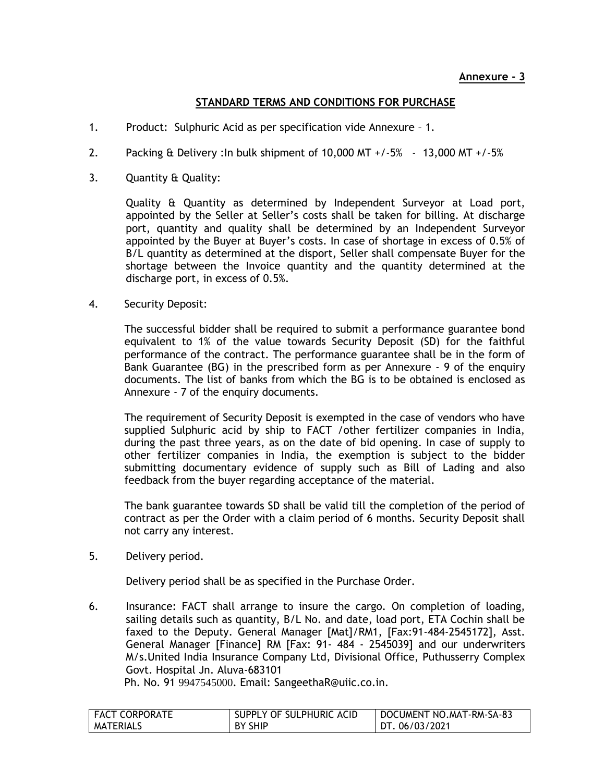# **STANDARD TERMS AND CONDITIONS FOR PURCHASE**

- 1. Product: Sulphuric Acid as per specification vide Annexure 1.
- 2. Packing & Delivery :In bulk shipment of 10,000 MT +/-5% 13,000 MT +/-5%
- 3. Quantity & Quality:

Quality & Quantity as determined by Independent Surveyor at Load port, appointed by the Seller at Seller's costs shall be taken for billing. At discharge port, quantity and quality shall be determined by an Independent Surveyor appointed by the Buyer at Buyer's costs. In case of shortage in excess of 0.5% of B/L quantity as determined at the disport, Seller shall compensate Buyer for the shortage between the Invoice quantity and the quantity determined at the discharge port, in excess of 0.5%.

4. Security Deposit:

The successful bidder shall be required to submit a performance guarantee bond equivalent to 1% of the value towards Security Deposit (SD) for the faithful performance of the contract. The performance guarantee shall be in the form of Bank Guarantee (BG) in the prescribed form as per Annexure - 9 of the enquiry documents. The list of banks from which the BG is to be obtained is enclosed as Annexure - 7 of the enquiry documents.

The requirement of Security Deposit is exempted in the case of vendors who have supplied Sulphuric acid by ship to FACT /other fertilizer companies in India, during the past three years, as on the date of bid opening. In case of supply to other fertilizer companies in India, the exemption is subject to the bidder submitting documentary evidence of supply such as Bill of Lading and also feedback from the buyer regarding acceptance of the material.

The bank guarantee towards SD shall be valid till the completion of the period of contract as per the Order with a claim period of 6 months. Security Deposit shall not carry any interest.

5. Delivery period.

Delivery period shall be as specified in the Purchase Order.

6. Insurance: FACT shall arrange to insure the cargo. On completion of loading, sailing details such as quantity, B/L No. and date, load port, ETA Cochin shall be faxed to the Deputy. General Manager [Mat]/RM1, [Fax:91-484-2545172], Asst. General Manager [Finance] RM [Fax: 91- 484 - 2545039] and our underwriters M/s.United India Insurance Company Ltd, Divisional Office, Puthusserry Complex Govt. Hospital Jn. Aluva-683101

Ph. No. 91 [9947545000](callto:9947545000). Email: SangeethaR@uiic.co.in.

| FACT CORPORATE   | SUPPLY OF SULPHURIC ACID | DOCUMENT NO.MAT-RM-SA-83 |
|------------------|--------------------------|--------------------------|
| <b>MATERIALS</b> | BY SHIP                  | DT. 06/03/2021           |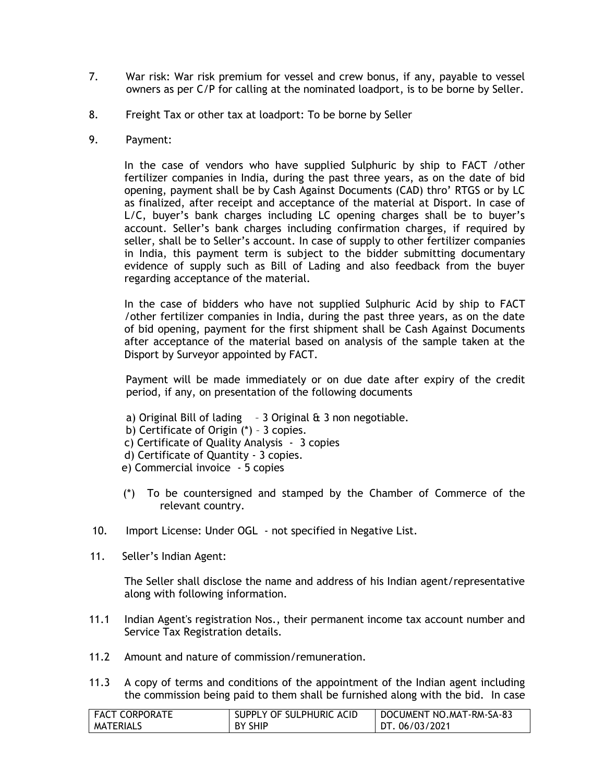- 7. War risk: War risk premium for vessel and crew bonus, if any, payable to vessel owners as per C/P for calling at the nominated loadport, is to be borne by Seller.
- 8. Freight Tax or other tax at loadport: To be borne by Seller
- 9. Payment:

In the case of vendors who have supplied Sulphuric by ship to FACT /other fertilizer companies in India, during the past three years, as on the date of bid opening, payment shall be by Cash Against Documents (CAD) thro' RTGS or by LC as finalized, after receipt and acceptance of the material at Disport. In case of L/C, buyer's bank charges including LC opening charges shall be to buyer's account. Seller's bank charges including confirmation charges, if required by seller, shall be to Seller's account. In case of supply to other fertilizer companies in India, this payment term is subject to the bidder submitting documentary evidence of supply such as Bill of Lading and also feedback from the buyer regarding acceptance of the material.

In the case of bidders who have not supplied Sulphuric Acid by ship to FACT /other fertilizer companies in India, during the past three years, as on the date of bid opening, payment for the first shipment shall be Cash Against Documents after acceptance of the material based on analysis of the sample taken at the Disport by Surveyor appointed by FACT.

Payment will be made immediately or on due date after expiry of the credit period, if any, on presentation of the following documents

- a) Original Bill of lading  $-3$  Original  $\theta$  3 non negotiable.
- b) Certificate of Origin (\*) 3 copies.
- c) Certificate of Quality Analysis 3 copies
- d) Certificate of Quantity 3 copies.
- e) Commercial invoice 5 copies
- (\*) To be countersigned and stamped by the Chamber of Commerce of the relevant country.
- 10. Import License: Under OGL not specified in Negative List.
- 11. Seller's Indian Agent:

The Seller shall disclose the name and address of his Indian agent/representative along with following information.

- 11.1 Indian Agent's registration Nos., their permanent income tax account number and Service Tax Registration details.
- 11.2 Amount and nature of commission/remuneration.
- 11.3 A copy of terms and conditions of the appointment of the Indian agent including the commission being paid to them shall be furnished along with the bid. In case

| <b>FACT CORPORATE</b> | SUPPLY OF SULPHURIC ACID | DOCUMENT NO.MAT-RM-SA-83 |
|-----------------------|--------------------------|--------------------------|
| <b>MATERIALS</b>      | <b>BY SHIP</b>           | DT. 06/03/2021           |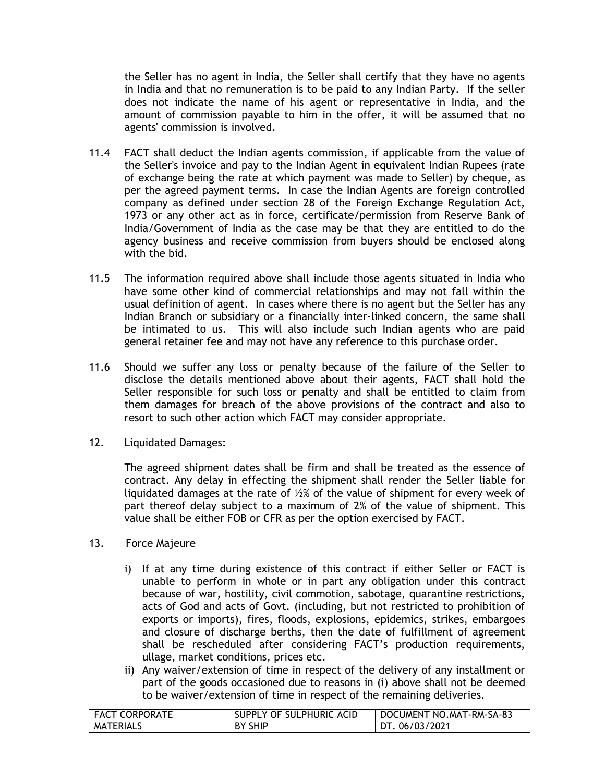the Seller has no agent in India, the Seller shall certify that they have no agents in India and that no remuneration is to be paid to any Indian Party. If the seller does not indicate the name of his agent or representative in India, and the amount of commission payable to him in the offer, it will be assumed that no agents' commission is involved.

- 11.4 FACT shall deduct the Indian agents commission, if applicable from the value of the Seller's invoice and pay to the Indian Agent in equivalent Indian Rupees (rate of exchange being the rate at which payment was made to Seller) by cheque, as per the agreed payment terms. In case the Indian Agents are foreign controlled company as defined under section 28 of the Foreign Exchange Regulation Act, 1973 or any other act as in force, certificate/permission from Reserve Bank of India/Government of India as the case may be that they are entitled to do the agency business and receive commission from buyers should be enclosed along with the bid.
- 11.5 The information required above shall include those agents situated in India who have some other kind of commercial relationships and may not fall within the usual definition of agent. In cases where there is no agent but the Seller has any Indian Branch or subsidiary or a financially inter-linked concern, the same shall be intimated to us. This will also include such Indian agents who are paid general retainer fee and may not have any reference to this purchase order.
- 11.6 Should we suffer any loss or penalty because of the failure of the Seller to disclose the details mentioned above about their agents, FACT shall hold the Seller responsible for such loss or penalty and shall be entitled to claim from them damages for breach of the above provisions of the contract and also to resort to such other action which FACT may consider appropriate.
- 12. Liquidated Damages:

The agreed shipment dates shall be firm and shall be treated as the essence of contract. Any delay in effecting the shipment shall render the Seller liable for liquidated damages at the rate of ½% of the value of shipment for every week of part thereof delay subject to a maximum of 2% of the value of shipment. This value shall be either FOB or CFR as per the option exercised by FACT.

- 13. Force Majeure
	- i) If at any time during existence of this contract if either Seller or FACT is unable to perform in whole or in part any obligation under this contract because of war, hostility, civil commotion, sabotage, quarantine restrictions, acts of God and acts of Govt. (including, but not restricted to prohibition of exports or imports), fires, floods, explosions, epidemics, strikes, embargoes and closure of discharge berths, then the date of fulfillment of agreement shall be rescheduled after considering FACT's production requirements, ullage, market conditions, prices etc.
	- ii) Any waiver/extension of time in respect of the delivery of any installment or part of the goods occasioned due to reasons in (i) above shall not be deemed to be waiver/extension of time in respect of the remaining deliveries.

| <b>FACT CORPORATE</b> | SUPPLY OF SULPHURIC ACID | DOCUMENT NO.MAT-RM-SA-83 |
|-----------------------|--------------------------|--------------------------|
| <b>MATERIALS</b>      | BY SHIP                  | DT. 06/03/2021           |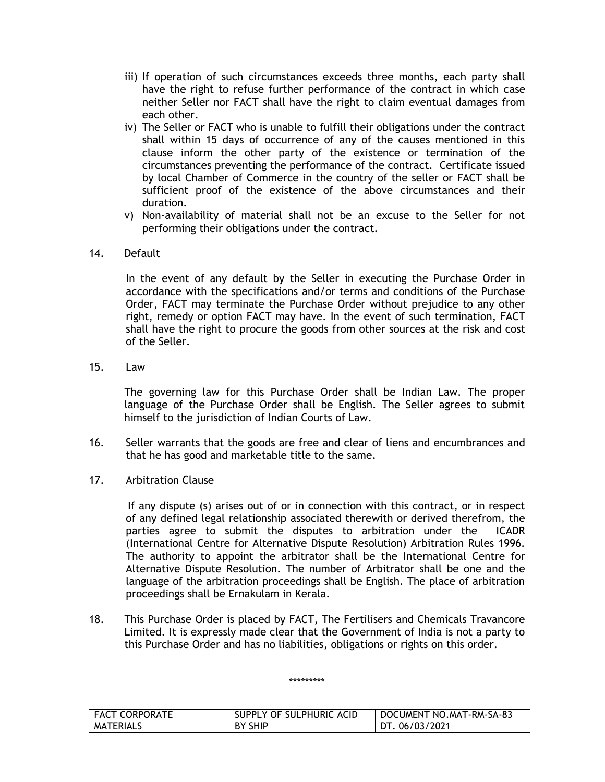- iii) If operation of such circumstances exceeds three months, each party shall have the right to refuse further performance of the contract in which case neither Seller nor FACT shall have the right to claim eventual damages from each other.
- iv) The Seller or FACT who is unable to fulfill their obligations under the contract shall within 15 days of occurrence of any of the causes mentioned in this clause inform the other party of the existence or termination of the circumstances preventing the performance of the contract. Certificate issued by local Chamber of Commerce in the country of the seller or FACT shall be sufficient proof of the existence of the above circumstances and their duration.
- v) Non-availability of material shall not be an excuse to the Seller for not performing their obligations under the contract.

# 14. Default

In the event of any default by the Seller in executing the Purchase Order in accordance with the specifications and/or terms and conditions of the Purchase Order, FACT may terminate the Purchase Order without prejudice to any other right, remedy or option FACT may have. In the event of such termination, FACT shall have the right to procure the goods from other sources at the risk and cost of the Seller.

15. Law

The governing law for this Purchase Order shall be Indian Law. The proper language of the Purchase Order shall be English. The Seller agrees to submit himself to the jurisdiction of Indian Courts of Law.

- 16. Seller warrants that the goods are free and clear of liens and encumbrances and that he has good and marketable title to the same.
- 17. Arbitration Clause

If any dispute (s) arises out of or in connection with this contract, or in respect of any defined legal relationship associated therewith or derived therefrom, the parties agree to submit the disputes to arbitration under the ICADR (International Centre for Alternative Dispute Resolution) Arbitration Rules 1996. The authority to appoint the arbitrator shall be the International Centre for Alternative Dispute Resolution. The number of Arbitrator shall be one and the language of the arbitration proceedings shall be English. The place of arbitration proceedings shall be Ernakulam in Kerala.

18. This Purchase Order is placed by FACT, The Fertilisers and Chemicals Travancore Limited. It is expressly made clear that the Government of India is not a party to this Purchase Order and has no liabilities, obligations or rights on this order.

#### \*\*\*\*\*\*\*\*\*

| <b>FACT CORPORATE</b> | SUPPLY OF SULPHURIC ACID | DOCUMENT NO.MAT-RM-SA-83 |
|-----------------------|--------------------------|--------------------------|
| MATERIALS             | BY SHIP                  | DT. 06/03/2021           |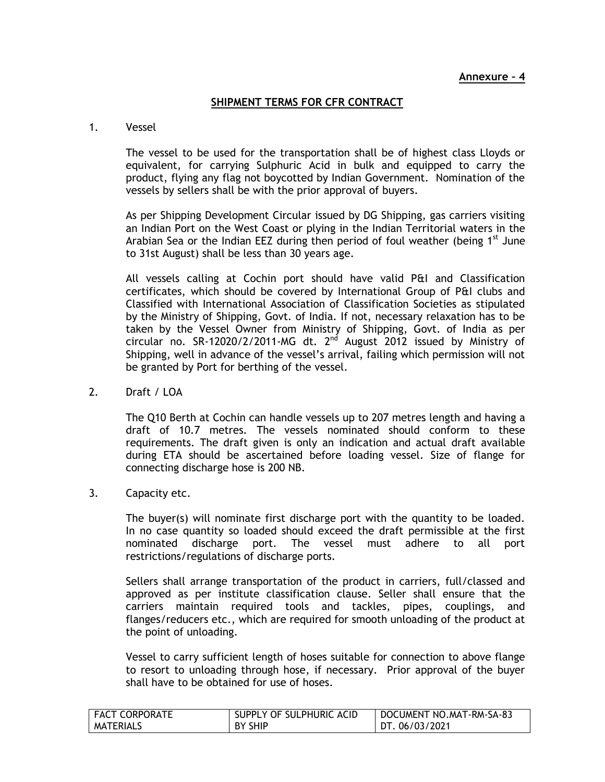# **SHIPMENT TERMS FOR CFR CONTRACT**

### 1. Vessel

The vessel to be used for the transportation shall be of highest class Lloyds or equivalent, for carrying Sulphuric Acid in bulk and equipped to carry the product, flying any flag not boycotted by Indian Government. Nomination of the vessels by sellers shall be with the prior approval of buyers.

As per Shipping Development Circular issued by DG Shipping, gas carriers visiting an Indian Port on the West Coast or plying in the Indian Territorial waters in the Arabian Sea or the Indian EEZ during then period of foul weather (being  $1^{st}$  June to 31st August) shall be less than 30 years age.

All vessels calling at Cochin port should have valid P&I and Classification certificates, which should be covered by International Group of P&I clubs and Classified with International Association of Classification Societies as stipulated by the Ministry of Shipping, Govt. of India. If not, necessary relaxation has to be taken by the Vessel Owner from Ministry of Shipping, Govt. of India as per circular no. SR-12020/2/2011-MG dt.  $2<sup>nd</sup>$  August 2012 issued by Ministry of Shipping, well in advance of the vessel's arrival, failing which permission will not be granted by Port for berthing of the vessel.

2. Draft / LOA

 The Q10 Berth at Cochin can handle vessels up to 207 metres length and having a draft of 10.7 metres. The vessels nominated should conform to these requirements. The draft given is only an indication and actual draft available during ETA should be ascertained before loading vessel. Size of flange for connecting discharge hose is 200 NB.

3. Capacity etc.

The buyer(s) will nominate first discharge port with the quantity to be loaded. In no case quantity so loaded should exceed the draft permissible at the first nominated discharge port. The vessel must adhere to all port restrictions/regulations of discharge ports.

Sellers shall arrange transportation of the product in carriers, full/classed and approved as per institute classification clause. Seller shall ensure that the carriers maintain required tools and tackles, pipes, couplings, and flanges/reducers etc., which are required for smooth unloading of the product at the point of unloading.

Vessel to carry sufficient length of hoses suitable for connection to above flange to resort to unloading through hose, if necessary. Prior approval of the buyer shall have to be obtained for use of hoses.

| <b>FACT CORPORATE</b> | SUPPLY OF SULPHURIC ACID | DOCUMENT NO.MAT-RM-SA-83 |
|-----------------------|--------------------------|--------------------------|
| MATERIALS             | <b>BY SHIP</b>           | DT. 06/03/2021           |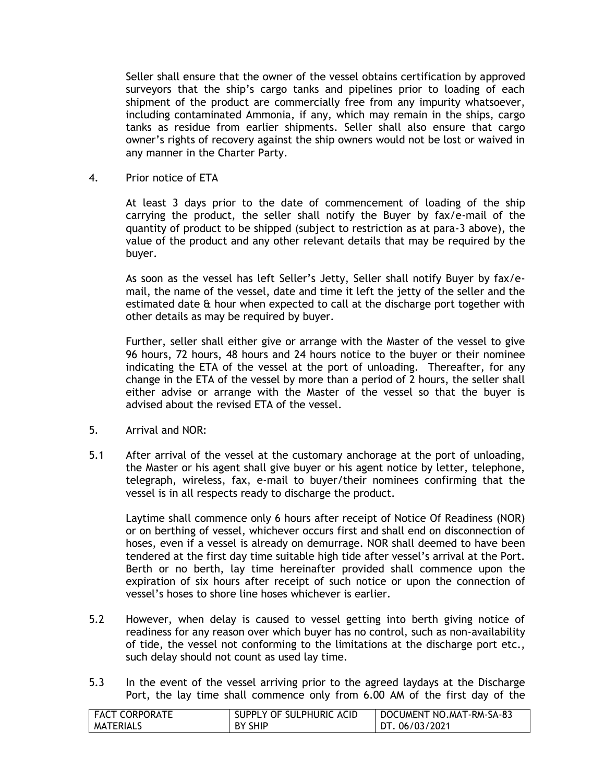Seller shall ensure that the owner of the vessel obtains certification by approved surveyors that the ship's cargo tanks and pipelines prior to loading of each shipment of the product are commercially free from any impurity whatsoever, including contaminated Ammonia, if any, which may remain in the ships, cargo tanks as residue from earlier shipments. Seller shall also ensure that cargo owner's rights of recovery against the ship owners would not be lost or waived in any manner in the Charter Party.

4. Prior notice of ETA

At least 3 days prior to the date of commencement of loading of the ship carrying the product, the seller shall notify the Buyer by fax/e-mail of the quantity of product to be shipped (subject to restriction as at para-3 above), the value of the product and any other relevant details that may be required by the buyer.

As soon as the vessel has left Seller's Jetty, Seller shall notify Buyer by fax/email, the name of the vessel, date and time it left the jetty of the seller and the estimated date & hour when expected to call at the discharge port together with other details as may be required by buyer.

Further, seller shall either give or arrange with the Master of the vessel to give 96 hours, 72 hours, 48 hours and 24 hours notice to the buyer or their nominee indicating the ETA of the vessel at the port of unloading. Thereafter, for any change in the ETA of the vessel by more than a period of 2 hours, the seller shall either advise or arrange with the Master of the vessel so that the buyer is advised about the revised ETA of the vessel.

- 5. Arrival and NOR:
- 5.1 After arrival of the vessel at the customary anchorage at the port of unloading, the Master or his agent shall give buyer or his agent notice by letter, telephone, telegraph, wireless, fax, e-mail to buyer/their nominees confirming that the vessel is in all respects ready to discharge the product.

Laytime shall commence only 6 hours after receipt of Notice Of Readiness (NOR) or on berthing of vessel, whichever occurs first and shall end on disconnection of hoses, even if a vessel is already on demurrage. NOR shall deemed to have been tendered at the first day time suitable high tide after vessel's arrival at the Port. Berth or no berth, lay time hereinafter provided shall commence upon the expiration of six hours after receipt of such notice or upon the connection of vessel's hoses to shore line hoses whichever is earlier.

- 5.2 However, when delay is caused to vessel getting into berth giving notice of readiness for any reason over which buyer has no control, such as non-availability of tide, the vessel not conforming to the limitations at the discharge port etc., such delay should not count as used lay time.
- 5.3 In the event of the vessel arriving prior to the agreed laydays at the Discharge Port, the lay time shall commence only from 6.00 AM of the first day of the

| <b>FACT CORPORATE</b> | SUPPLY OF SULPHURIC ACID | DOCUMENT NO.MAT-RM-SA-83 |
|-----------------------|--------------------------|--------------------------|
| MATERIALS             | <b>BY SHIP</b>           | DT. 06/03/2021           |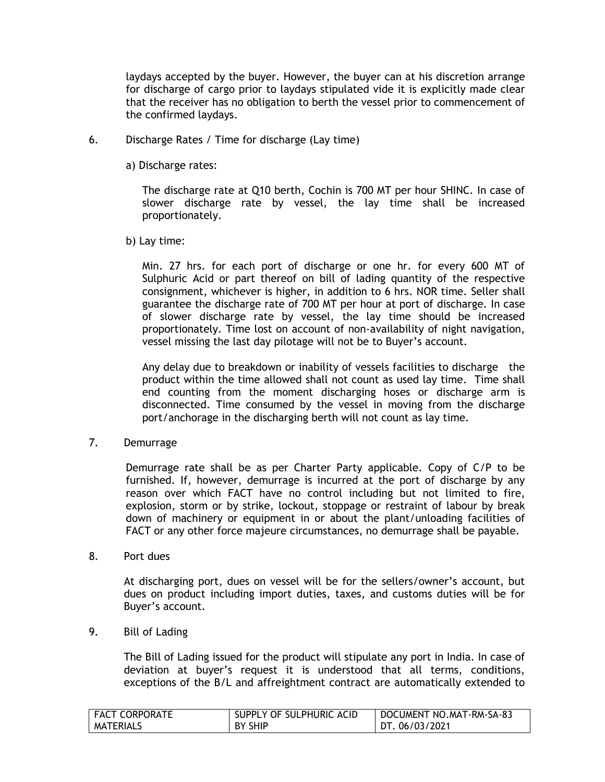laydays accepted by the buyer. However, the buyer can at his discretion arrange for discharge of cargo prior to laydays stipulated vide it is explicitly made clear that the receiver has no obligation to berth the vessel prior to commencement of the confirmed laydays.

- 6. Discharge Rates / Time for discharge (Lay time)
	- a) Discharge rates:

The discharge rate at Q10 berth, Cochin is 700 MT per hour SHINC. In case of slower discharge rate by vessel, the lay time shall be increased proportionately.

b) Lay time:

Min. 27 hrs. for each port of discharge or one hr. for every 600 MT of Sulphuric Acid or part thereof on bill of lading quantity of the respective consignment, whichever is higher, in addition to 6 hrs. NOR time. Seller shall guarantee the discharge rate of 700 MT per hour at port of discharge. In case of slower discharge rate by vessel, the lay time should be increased proportionately. Time lost on account of non-availability of night navigation, vessel missing the last day pilotage will not be to Buyer's account.

Any delay due to breakdown or inability of vessels facilities to discharge the product within the time allowed shall not count as used lay time. Time shall end counting from the moment discharging hoses or discharge arm is disconnected. Time consumed by the vessel in moving from the discharge port/anchorage in the discharging berth will not count as lay time.

7. Demurrage

Demurrage rate shall be as per Charter Party applicable. Copy of C/P to be furnished. If, however, demurrage is incurred at the port of discharge by any reason over which FACT have no control including but not limited to fire, explosion, storm or by strike, lockout, stoppage or restraint of labour by break down of machinery or equipment in or about the plant/unloading facilities of FACT or any other force majeure circumstances, no demurrage shall be payable.

8. Port dues

At discharging port, dues on vessel will be for the sellers/owner's account, but dues on product including import duties, taxes, and customs duties will be for Buyer's account.

9. Bill of Lading

The Bill of Lading issued for the product will stipulate any port in India. In case of deviation at buyer's request it is understood that all terms, conditions, exceptions of the B/L and affreightment contract are automatically extended to

| FACT CORPORATE   | SUPPLY OF SULPHURIC ACID | DOCUMENT NO.MAT-RM-SA-83 |
|------------------|--------------------------|--------------------------|
| <b>MATERIALS</b> | <b>BY SHIP</b>           | DT. 06/03/2021           |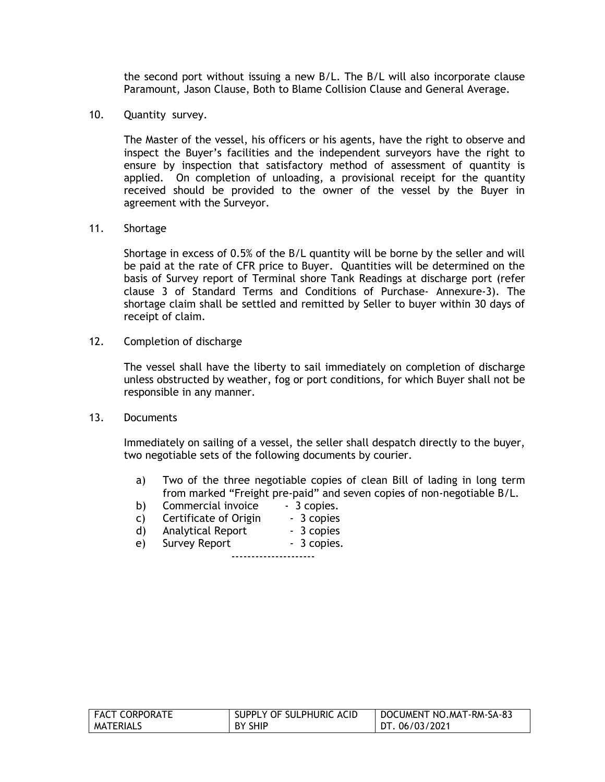the second port without issuing a new B/L. The B/L will also incorporate clause Paramount, Jason Clause, Both to Blame Collision Clause and General Average.

10. Quantity survey.

The Master of the vessel, his officers or his agents, have the right to observe and inspect the Buyer's facilities and the independent surveyors have the right to ensure by inspection that satisfactory method of assessment of quantity is applied. On completion of unloading, a provisional receipt for the quantity received should be provided to the owner of the vessel by the Buyer in agreement with the Surveyor.

11. Shortage

Shortage in excess of 0.5% of the B/L quantity will be borne by the seller and will be paid at the rate of CFR price to Buyer. Quantities will be determined on the basis of Survey report of Terminal shore Tank Readings at discharge port (refer clause 3 of Standard Terms and Conditions of Purchase- Annexure-3). The shortage claim shall be settled and remitted by Seller to buyer within 30 days of receipt of claim.

12. Completion of discharge

The vessel shall have the liberty to sail immediately on completion of discharge unless obstructed by weather, fog or port conditions, for which Buyer shall not be responsible in any manner.

13. Documents

Immediately on sailing of a vessel, the seller shall despatch directly to the buyer, two negotiable sets of the following documents by courier.

- a) Two of the three negotiable copies of clean Bill of lading in long term from marked "Freight pre-paid" and seven copies of non-negotiable B/L.
- b) Commercial invoice 3 copies.
- c) Certificate of Origin 3 copies
- d) Analytical Report 3 copies
- e) Survey Report 3 copies.

---------------------

| <b>FACT CORPORATE</b> | SUPPLY OF SULPHURIC ACID | DOCUMENT NO.MAT-RM-SA-83 |
|-----------------------|--------------------------|--------------------------|
| MATERIALS             | . BY SHIP                | DT. 06/03/2021           |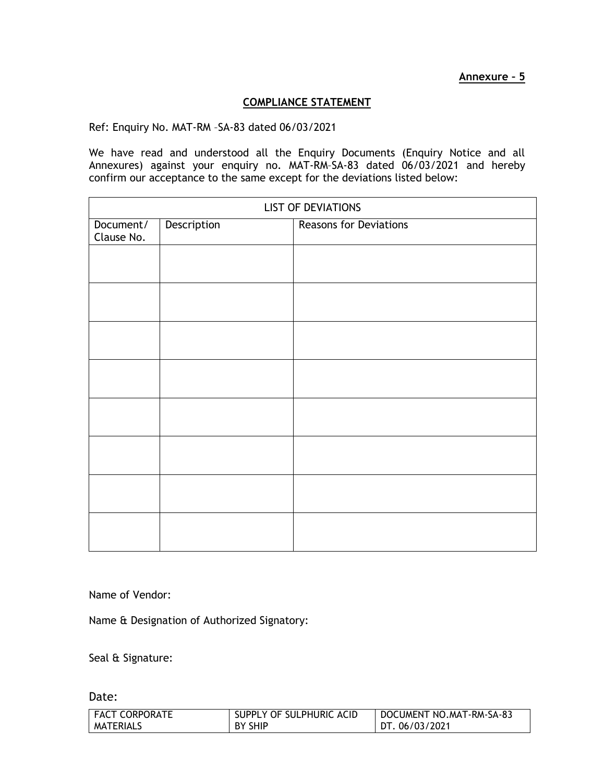# **COMPLIANCE STATEMENT**

Ref: Enquiry No. MAT-RM –SA-83 dated 06/03/2021

We have read and understood all the Enquiry Documents (Enquiry Notice and all Annexures) against your enquiry no. MAT-RM–SA-83 dated 06/03/2021 and hereby confirm our acceptance to the same except for the deviations listed below:

| <b>LIST OF DEVIATIONS</b> |             |                               |
|---------------------------|-------------|-------------------------------|
| Document/<br>Clause No.   | Description | <b>Reasons for Deviations</b> |
|                           |             |                               |
|                           |             |                               |
|                           |             |                               |
|                           |             |                               |
|                           |             |                               |
|                           |             |                               |
|                           |             |                               |
|                           |             |                               |
|                           |             |                               |
|                           |             |                               |

Name of Vendor:

Name & Designation of Authorized Signatory:

Seal & Signature:

Date:

| <b>FACT CORPORATE</b> | SUPPLY OF SULPHURIC ACID | DOCUMENT NO.MAT-RM-SA-83 |
|-----------------------|--------------------------|--------------------------|
| <b>MATERIALS</b>      | BY SHIP                  | DT. 06/03/2021           |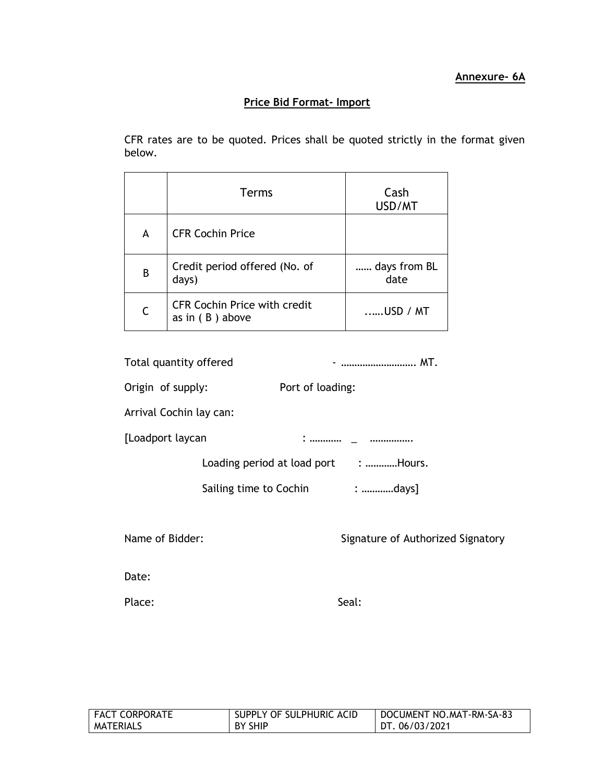# **Price Bid Format- Import**

CFR rates are to be quoted. Prices shall be quoted strictly in the format given below.

|   | <b>Terms</b>                                             | Cash<br>USD/MT       |
|---|----------------------------------------------------------|----------------------|
| A | <b>CFR Cochin Price</b>                                  |                      |
| B | Credit period offered (No. of<br>days)                   | days from BL<br>date |
| C | <b>CFR Cochin Price with credit</b><br>as in $(B)$ above | $\dots$ USD / MT     |

| Total quantity offered  | -  MT.                               |
|-------------------------|--------------------------------------|
| Origin of supply:       | Port of loading:                     |
| Arrival Cochin lay can: |                                      |
| [Loadport laycan        |                                      |
|                         | Loading period at load port : Hours. |
|                         | Sailing time to Cochin : days]       |
| Name of Bidder:         | Signature of Authorized Signatory    |
| Date:                   |                                      |
| Place:                  | Seal:                                |

| <b>FACT CORPORATE</b> | SUPPLY OF SULPHURIC ACID | DOCUMENT NO.MAT-RM-SA-83 |
|-----------------------|--------------------------|--------------------------|
| MATERIALS             | BY SHIP                  | DT. 06/03/2021           |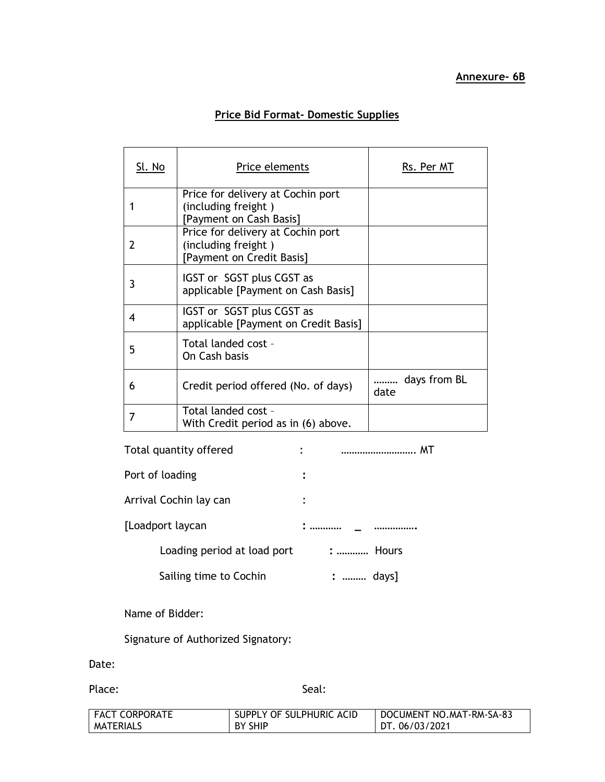# **Price Bid Format- Domestic Supplies**

| Sl. No | Price elements                                                                        | Rs. Per MT           |
|--------|---------------------------------------------------------------------------------------|----------------------|
|        | Price for delivery at Cochin port<br>(including freight)<br>[Payment on Cash Basis]   |                      |
| 2      | Price for delivery at Cochin port<br>(including freight)<br>[Payment on Credit Basis] |                      |
| 3      | IGST or SGST plus CGST as<br>applicable [Payment on Cash Basis]                       |                      |
| 4      | IGST or SGST plus CGST as<br>applicable [Payment on Credit Basis]                     |                      |
| 5      | Total landed cost -<br>On Cash basis                                                  |                      |
| 6      | Credit period offered (No. of days)                                                   | days from BL<br>date |
|        | Total landed cost -<br>With Credit period as in (6) above.                            |                      |

| Total quantity offered      | :               |
|-----------------------------|-----------------|
| Port of loading             |                 |
| Arrival Cochin lay can      |                 |
| [Loadport laycan            |                 |
| Loading period at load port | <b>:  Hours</b> |
| Sailing time to Cochin      | :  days         |

Name of Bidder:

Signature of Authorized Signatory:

Date:

Place: Seal: Seal: Seal: Seal: Seal: Seal: Seal: Seal: Seal: Seal: Seal: Seal: Seal: Seal: Seal: Seal: Seal: Seal: Seal: Seal: Seal: Seal: Seal: Seal: Seal: Seal: Seal: Seal: Seal: Seal: Seal: Seal: Seal: Seal: Seal: Seal:

| <b>FACT CORPORATE</b> | SUPPLY OF SULPHURIC ACID | DOCUMENT NO.MAT-RM-SA-83 |
|-----------------------|--------------------------|--------------------------|
| <b>MATERIALS</b>      | <b>BY SHIP</b>           | DT. 06/03/2021           |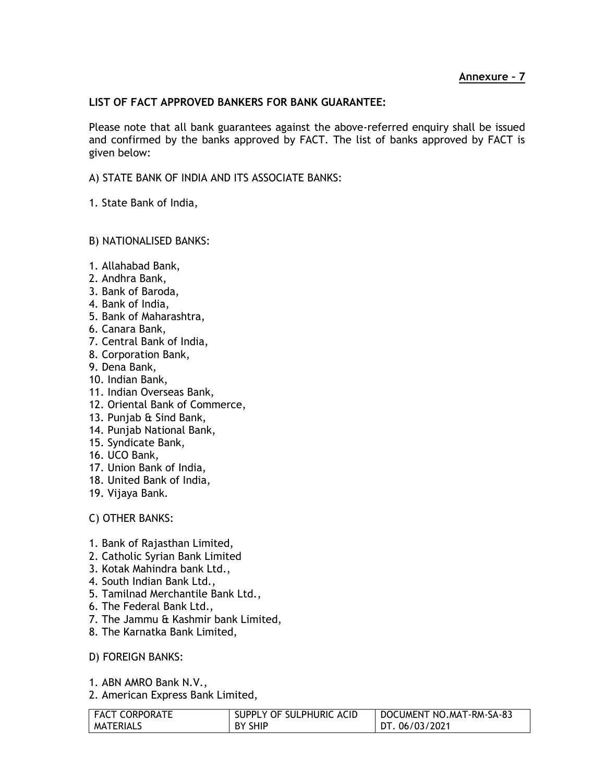# **LIST OF FACT APPROVED BANKERS FOR BANK GUARANTEE:**

Please note that all bank guarantees against the above-referred enquiry shall be issued and confirmed by the banks approved by FACT. The list of banks approved by FACT is given below:

A) STATE BANK OF INDIA AND ITS ASSOCIATE BANKS:

1. State Bank of India,

# B) NATIONALISED BANKS:

- 1. Allahabad Bank,
- 2. Andhra Bank,
- 3. Bank of Baroda,
- 4. Bank of India,
- 5. Bank of Maharashtra,
- 6. Canara Bank,
- 7. Central Bank of India,
- 8. Corporation Bank,
- 9. Dena Bank,
- 10. Indian Bank,
- 11. Indian Overseas Bank,
- 12. Oriental Bank of Commerce,
- 13. Punjab & Sind Bank,
- 14. Punjab National Bank,
- 15. Syndicate Bank,
- 16. UCO Bank,
- 17. Union Bank of India,
- 18. United Bank of India,
- 19. Vijaya Bank.

### C) OTHER BANKS:

- 1. Bank of Rajasthan Limited,
- 2. Catholic Syrian Bank Limited
- 3. Kotak Mahindra bank Ltd.,
- 4. South Indian Bank Ltd.,
- 5. Tamilnad Merchantile Bank Ltd.,
- 6. The Federal Bank Ltd.,
- 7. The Jammu & Kashmir bank Limited,
- 8. The Karnatka Bank Limited,
- D) FOREIGN BANKS:
- 1. ABN AMRO Bank N.V.,
- 2. American Express Bank Limited,

| FACT CORPORATE | SUPPLY OF SULPHURIC ACID | DOCUMENT NO.MAT-RM-SA-83 |
|----------------|--------------------------|--------------------------|
| MATERIALS      | BY SHIP                  | DT. 06/03/2021           |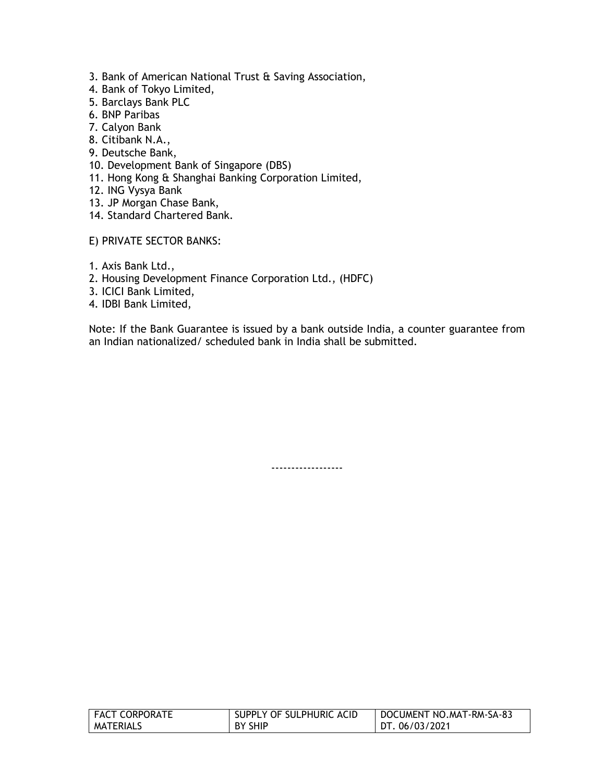- 3. Bank of American National Trust & Saving Association,
- 4. Bank of Tokyo Limited,
- 5. Barclays Bank PLC
- 6. BNP Paribas
- 7. Calyon Bank
- 8. Citibank N.A.,
- 9. Deutsche Bank,
- 10. Development Bank of Singapore (DBS)
- 11. Hong Kong & Shanghai Banking Corporation Limited,
- 12. ING Vysya Bank
- 13. JP Morgan Chase Bank,
- 14. Standard Chartered Bank.
- E) PRIVATE SECTOR BANKS:
- 1. Axis Bank Ltd.,
- 2. Housing Development Finance Corporation Ltd., (HDFC)
- 3. ICICI Bank Limited,
- 4. IDBI Bank Limited,

Note: If the Bank Guarantee is issued by a bank outside India, a counter guarantee from an Indian nationalized/ scheduled bank in India shall be submitted.

------------------

| <b>FACT CORPORATE</b> | SUPPLY OF SULPHURIC ACID | DOCUMENT NO.MAT-RM-SA-83 |
|-----------------------|--------------------------|--------------------------|
| <b>MATERIALS</b>      | BY SHIP                  | DT. 06/03/2021           |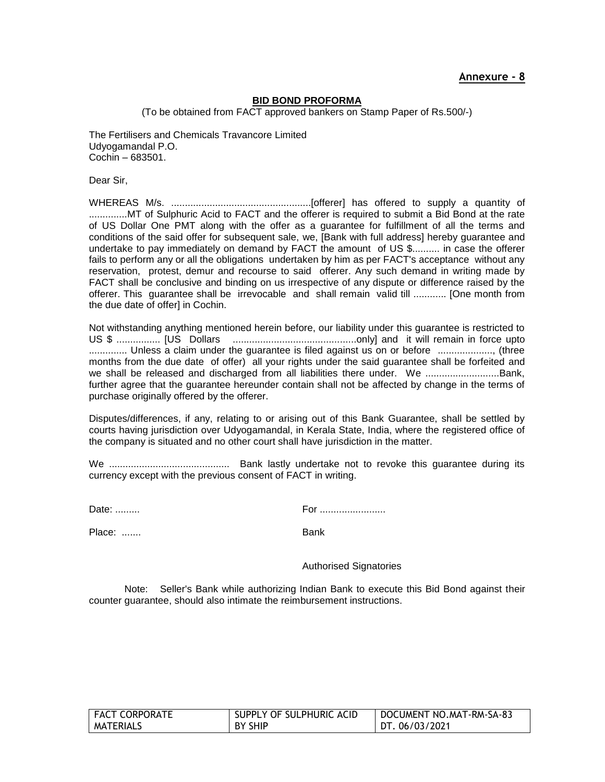#### **BID BOND PROFORMA**

(To be obtained from FACT approved bankers on Stamp Paper of Rs.500/-)

The Fertilisers and Chemicals Travancore Limited Udyogamandal P.O. Cochin – 683501.

Dear Sir,

WHEREAS M/s. ...................................................[offerer] has offered to supply a quantity of ..............MT of Sulphuric Acid to FACT and the offerer is required to submit a Bid Bond at the rate of US Dollar One PMT along with the offer as a guarantee for fulfillment of all the terms and conditions of the said offer for subsequent sale, we, [Bank with full address] hereby guarantee and undertake to pay immediately on demand by FACT the amount of US \$.......... in case the offerer fails to perform any or all the obligations undertaken by him as per FACT's acceptance without any reservation, protest, demur and recourse to said offerer. Any such demand in writing made by FACT shall be conclusive and binding on us irrespective of any dispute or difference raised by the offerer. This guarantee shall be irrevocable and shall remain valid till ............ [One month from the due date of offer] in Cochin.

Not withstanding anything mentioned herein before, our liability under this guarantee is restricted to US \$ ................ [US Dollars .............................................only] and it will remain in force upto .............. Unless a claim under the guarantee is filed against us on or before ...................., (three months from the due date of offer) all your rights under the said guarantee shall be forfeited and we shall be released and discharged from all liabilities there under. We ..........................Bank, further agree that the guarantee hereunder contain shall not be affected by change in the terms of purchase originally offered by the offerer.

Disputes/differences, if any, relating to or arising out of this Bank Guarantee, shall be settled by courts having jurisdiction over Udyogamandal, in Kerala State, India, where the registered office of the company is situated and no other court shall have jurisdiction in the matter.

We ............................................ Bank lastly undertake not to revoke this guarantee during its currency except with the previous consent of FACT in writing.

Date: ......... For ........................

Place: ....... Bank

Authorised Signatories

Note: Seller's Bank while authorizing Indian Bank to execute this Bid Bond against their counter guarantee, should also intimate the reimbursement instructions.

| <b>FACT CORPORATE</b> | SUPPLY OF SULPHURIC ACID | DOCUMENT NO.MAT-RM-SA-83 |
|-----------------------|--------------------------|--------------------------|
| MATERIALS             | BY SHIP                  | DT. 06/03/2021           |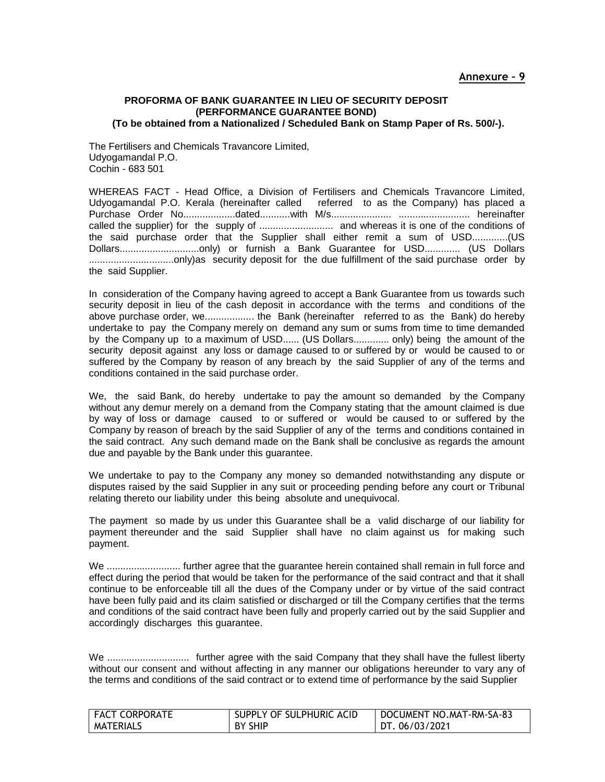#### **PROFORMA OF BANK GUARANTEE IN LIEU OF SECURITY DEPOSIT (PERFORMANCE GUARANTEE BOND) (To be obtained from a Nationalized / Scheduled Bank on Stamp Paper of Rs. 500/-).**

The Fertilisers and Chemicals Travancore Limited, Udyogamandal P.O. Cochin - 683 501

WHEREAS FACT - Head Office, a Division of Fertilisers and Chemicals Travancore Limited, Udyogamandal P.O. Kerala (hereinafter called referred to as the Company) has placed a Purchase Order No...................dated...........with M/s...................... .......................... hereinafter called the supplier) for the supply of ........................... and whereas it is one of the conditions of the said purchase order that the Supplier shall either remit a sum of USD.............(US Dollars.............................only) or furnish a Bank Guarantee for USD............. (US Dollars ...............................only)as security deposit for the due fulfillment of the said purchase order by the said Supplier.

In consideration of the Company having agreed to accept a Bank Guarantee from us towards such security deposit in lieu of the cash deposit in accordance with the terms and conditions of the above purchase order, we.................. the Bank (hereinafter referred to as the Bank) do hereby undertake to pay the Company merely on demand any sum or sums from time to time demanded by the Company up to a maximum of USD...... (US Dollars............. only) being the amount of the security deposit against any loss or damage caused to or suffered by or would be caused to or suffered by the Company by reason of any breach by the said Supplier of any of the terms and conditions contained in the said purchase order.

We, the said Bank, do hereby undertake to pay the amount so demanded by the Company without any demur merely on a demand from the Company stating that the amount claimed is due by way of loss or damage caused to or suffered or would be caused to or suffered by the Company by reason of breach by the said Supplier of any of the terms and conditions contained in the said contract. Any such demand made on the Bank shall be conclusive as regards the amount due and payable by the Bank under this guarantee.

We undertake to pay to the Company any money so demanded notwithstanding any dispute or disputes raised by the said Supplier in any suit or proceeding pending before any court or Tribunal relating thereto our liability under this being absolute and unequivocal.

The payment so made by us under this Guarantee shall be a valid discharge of our liability for payment thereunder and the said Supplier shall have no claim against us for making such payment.

We ............................ further agree that the guarantee herein contained shall remain in full force and effect during the period that would be taken for the performance of the said contract and that it shall continue to be enforceable till all the dues of the Company under or by virtue of the said contract have been fully paid and its claim satisfied or discharged or till the Company certifies that the terms and conditions of the said contract have been fully and properly carried out by the said Supplier and accordingly discharges this guarantee.

We .............................. further agree with the said Company that they shall have the fullest liberty without our consent and without affecting in any manner our obligations hereunder to vary any of the terms and conditions of the said contract or to extend time of performance by the said Supplier

| FACT CORPORATE | SUPPLY OF SULPHURIC ACID | DOCUMENT NO.MAT-RM-SA-83 |
|----------------|--------------------------|--------------------------|
| I MATERIALS    | <b>BY SHIP</b>           | DT.06/03/2021            |